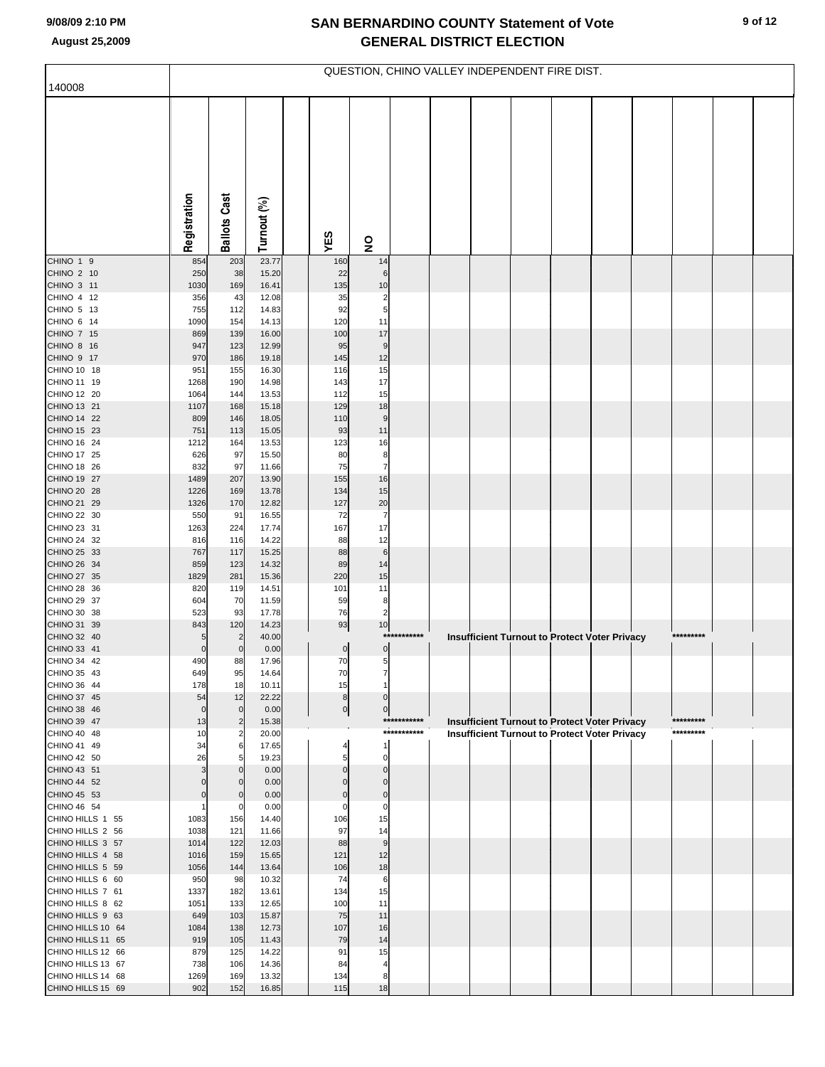## **SAN BERNARDINO COUNTY Statement of Vote August 25,2009 GENERAL DISTRICT ELECTION**

|                                        | QUESTION, CHINO VALLEY INDEPENDENT FIRE DIST. |                                  |                |  |                      |                              |             |  |  |                                                      |  |  |  |           |  |
|----------------------------------------|-----------------------------------------------|----------------------------------|----------------|--|----------------------|------------------------------|-------------|--|--|------------------------------------------------------|--|--|--|-----------|--|
| 140008                                 |                                               |                                  |                |  |                      |                              |             |  |  |                                                      |  |  |  |           |  |
|                                        |                                               |                                  |                |  |                      |                              |             |  |  |                                                      |  |  |  |           |  |
|                                        | Registration                                  | <b>Ballots Cast</b>              | Turnout (%)    |  | YES                  | $\overline{\mathbf{z}}$      |             |  |  |                                                      |  |  |  |           |  |
| CHINO 1 9                              | 854                                           | 203                              | 23.77          |  | 160                  | 14                           |             |  |  |                                                      |  |  |  |           |  |
| CHINO 2 10<br>CHINO 3 11               | 250<br>1030                                   | 38<br>169                        | 15.20<br>16.41 |  | 22<br>135            | 6<br>10                      |             |  |  |                                                      |  |  |  |           |  |
| CHINO 4 12                             | 356                                           | 43                               | 12.08          |  | 35                   | $\overline{\mathbf{c}}$      |             |  |  |                                                      |  |  |  |           |  |
| CHINO 5 13                             | 755                                           | 112                              | 14.83          |  | 92                   | 5                            |             |  |  |                                                      |  |  |  |           |  |
| CHINO 6 14<br>CHINO 7 15               | 1090                                          | 154<br>139                       | 14.13<br>16.00 |  | 120<br>100           | 11<br>17                     |             |  |  |                                                      |  |  |  |           |  |
| CHINO 8 16                             | 869<br>947                                    | 123                              | 12.99          |  | 95                   | 9                            |             |  |  |                                                      |  |  |  |           |  |
| CHINO 9 17                             | 970                                           | 186                              | 19.18          |  | 145                  | 12                           |             |  |  |                                                      |  |  |  |           |  |
| CHINO 10 18                            | 951                                           | 155                              | 16.30          |  | 116                  | 15                           |             |  |  |                                                      |  |  |  |           |  |
| CHINO 11 19<br>CHINO 12 20             | 1268<br>1064                                  | 190<br>144                       | 14.98<br>13.53 |  | 143<br>112           | 17<br>15                     |             |  |  |                                                      |  |  |  |           |  |
| CHINO 13 21                            | 1107                                          | 168                              | 15.18          |  | 129                  | 18                           |             |  |  |                                                      |  |  |  |           |  |
| CHINO 14 22                            | 809                                           | 146                              | 18.05          |  | 110                  | 9                            |             |  |  |                                                      |  |  |  |           |  |
| CHINO 15 23<br>CHINO 16 24             | 751<br>1212                                   | 113<br>164                       | 15.05<br>13.53 |  | 93<br>123            | 11<br>16                     |             |  |  |                                                      |  |  |  |           |  |
| CHINO 17 25                            | 626                                           | 97                               | 15.50          |  | 80                   | 8                            |             |  |  |                                                      |  |  |  |           |  |
| CHINO 18 26                            | 832                                           | 97                               | 11.66          |  | 75                   | $\overline{7}$               |             |  |  |                                                      |  |  |  |           |  |
| CHINO 19 27                            | 1489                                          | 207                              | 13.90          |  | 155                  | 16                           |             |  |  |                                                      |  |  |  |           |  |
| CHINO 20 28<br>CHINO 21 29             | 1226<br>1326                                  | 169<br>170                       | 13.78<br>12.82 |  | 134<br>127           | 15<br>20                     |             |  |  |                                                      |  |  |  |           |  |
| CHINO 22 30                            | 550                                           | 91                               | 16.55          |  | 72                   | 7                            |             |  |  |                                                      |  |  |  |           |  |
| CHINO 23 31                            | 1263                                          | 224                              | 17.74          |  | 167                  | 17                           |             |  |  |                                                      |  |  |  |           |  |
| CHINO 24 32<br>CHINO 25 33             | 816                                           | 116<br>117                       | 14.22<br>15.25 |  | 88<br>88             | 12<br>$6\phantom{1}6$        |             |  |  |                                                      |  |  |  |           |  |
| CHINO 26 34                            | 767<br>859                                    | 123                              | 14.32          |  | 89                   | 14                           |             |  |  |                                                      |  |  |  |           |  |
| CHINO 27 35                            | 1829                                          | 281                              | 15.36          |  | 220                  | 15                           |             |  |  |                                                      |  |  |  |           |  |
| CHINO 28 36                            | 820                                           | 119                              | 14.51          |  | 101                  | 11                           |             |  |  |                                                      |  |  |  |           |  |
| CHINO 29 37<br>CHINO 30 38             | 604<br>523                                    | 70<br>93                         | 11.59<br>17.78 |  | 59<br>76             | 8<br>$\overline{\mathbf{c}}$ |             |  |  |                                                      |  |  |  |           |  |
| CHINO 31 39                            | 843                                           | 120                              | 14.23          |  | 93                   | 10                           |             |  |  |                                                      |  |  |  |           |  |
| CHINO 32 40                            | 5                                             |                                  | 40.00          |  |                      |                              | *********** |  |  | <b>Insufficient Turnout to Protect Voter Privacy</b> |  |  |  | ********* |  |
| CHINO 33 41<br>CHINO 34 42             | $\mathbf 0$<br>490                            | 0<br>88                          | 0.00<br>17.96  |  | $\overline{0}$<br>70 | $\pmb{0}$<br>5               |             |  |  |                                                      |  |  |  |           |  |
| CHINO 35 43                            | 649                                           | 95                               | 14.64          |  | 70                   |                              |             |  |  |                                                      |  |  |  |           |  |
| CHINO 36 44                            | 178                                           | 18                               | 10.11          |  | 15                   |                              |             |  |  |                                                      |  |  |  |           |  |
| CHINO 37 45                            | 54                                            | 12                               | 22.22          |  | $\bf8$               | $\Omega$                     |             |  |  |                                                      |  |  |  |           |  |
| CHINO 38 46<br>CHINO 39 47             | $\mathbf 0$<br>13                             | $\overline{0}$<br>$\overline{2}$ | 0.00<br>15.38  |  | 0                    | $\mathbf 0$                  | *********** |  |  | <b>Insufficient Turnout to Protect Voter Privacy</b> |  |  |  | ********* |  |
| CHINO 40 48                            | 10                                            | $\overline{2}$                   | 20.00          |  |                      |                              | *********** |  |  | <b>Insufficient Turnout to Protect Voter Privacy</b> |  |  |  | ********* |  |
| CHINO 41 49                            | 34                                            | 6                                | 17.65          |  |                      | -1                           |             |  |  |                                                      |  |  |  |           |  |
| CHINO 42 50<br>CHINO 43 51             | 26<br>3                                       | 5<br>$\mathbf{0}$                | 19.23<br>0.00  |  | $\Omega$             | $\mathbf 0$<br>$\Omega$      |             |  |  |                                                      |  |  |  |           |  |
| CHINO 44 52                            | $\mathbf 0$                                   | $\overline{0}$                   | 0.00           |  | $\Omega$             | $\Omega$                     |             |  |  |                                                      |  |  |  |           |  |
| CHINO 45 53                            | $\mathbf 0$                                   | 0                                | 0.00           |  | $\Omega$             | $\mathbf 0$                  |             |  |  |                                                      |  |  |  |           |  |
| CHINO 46 54<br>CHINO HILLS 1 55        |                                               | 0                                | 0.00           |  | $\mathbf 0$          | $\pmb{0}$                    |             |  |  |                                                      |  |  |  |           |  |
| CHINO HILLS 2 56                       | 1083<br>1038                                  | 156<br>121                       | 14.40<br>11.66 |  | 106<br>97            | 15<br>14                     |             |  |  |                                                      |  |  |  |           |  |
| CHINO HILLS 3 57                       | 1014                                          | 122                              | 12.03          |  | 88                   | $\boldsymbol{9}$             |             |  |  |                                                      |  |  |  |           |  |
| CHINO HILLS 4 58                       | 1016                                          | 159                              | 15.65          |  | 121                  | 12                           |             |  |  |                                                      |  |  |  |           |  |
| CHINO HILLS 5 59<br>CHINO HILLS 6 60   | 1056<br>950                                   | 144<br>98                        | 13.64<br>10.32 |  | 106<br>74            | 18<br>6                      |             |  |  |                                                      |  |  |  |           |  |
| CHINO HILLS 7 61                       | 1337                                          | 182                              | 13.61          |  | 134                  | 15                           |             |  |  |                                                      |  |  |  |           |  |
| CHINO HILLS 8 62                       | 1051                                          | 133                              | 12.65          |  | 100                  | 11                           |             |  |  |                                                      |  |  |  |           |  |
| CHINO HILLS 9 63                       | 649                                           | 103                              | 15.87          |  | 75                   | 11                           |             |  |  |                                                      |  |  |  |           |  |
| CHINO HILLS 10 64<br>CHINO HILLS 11 65 | 1084<br>919                                   | 138<br>105                       | 12.73<br>11.43 |  | 107<br>79            | 16<br>14                     |             |  |  |                                                      |  |  |  |           |  |
| CHINO HILLS 12 66                      | 879                                           | 125                              | 14.22          |  | 91                   | 15                           |             |  |  |                                                      |  |  |  |           |  |
| CHINO HILLS 13 67                      | 738                                           | 106                              | 14.36          |  | 84                   | $\overline{4}$               |             |  |  |                                                      |  |  |  |           |  |
| CHINO HILLS 14 68                      | 1269                                          | 169                              | 13.32          |  | 134                  | 8                            |             |  |  |                                                      |  |  |  |           |  |
| CHINO HILLS 15 69                      | 902                                           | 152                              | 16.85          |  | 115                  | 18                           |             |  |  |                                                      |  |  |  |           |  |